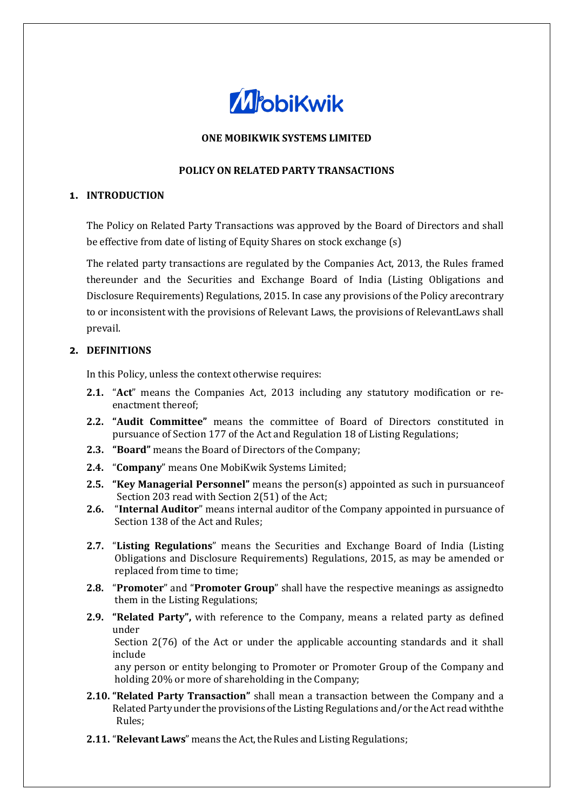

# **ONE MOBIKWIK SYSTEMS LIMITED**

### **POLICY ON RELATED PARTY TRANSACTIONS**

## **1. INTRODUCTION**

The Policy on Related Party Transactions was approved by the Board of Directors and shall be effective from date of listing of Equity Shares on stock exchange (s)

The related party transactions are regulated by the Companies Act, 2013, the Rules framed thereunder and the Securities and Exchange Board of India (Listing Obligations and Disclosure Requirements) Regulations, 2015. In case any provisions of the Policy arecontrary to or inconsistent with the provisions of Relevant Laws, the provisions of Relevant Laws shall prevail.

### **2. DEFINITIONS**

In this Policy, unless the context otherwise requires:

- **2.1.** "**Act**" means the Companies Act, 2013 including any statutory modification or re enactment thereof;
- **2.2. "Audit Committee"** means the committee of Board of Directors constituted in pursuance of Section 177 of the Act and Regulation 18 of Listing Regulations;
- **2.3. "Board"** means the Board of Directors of the Company;
- **2.4.** "**Company**" means One MobiKwik Systems Limited;
- **2.5. "Key Managerial Personnel"** means the person(s) appointed as such in pursuanceof Section 203 read with Section 2(51) of the Act;
- **2.6.** "**Internal Auditor**" means internal auditor of the Company appointed in pursuance of Section 138 of the Act and Rules;
- **2.7.** "**Listing Regulations**" means the Securities and Exchange Board of India (Listing Obligations and Disclosure Requirements) Regulations, 2015, as may be amended or replaced from time to time;
- **2.8.** "**Promoter**" and "**Promoter Group**" shall have the respective meanings as assignedto them in the Listing Regulations;
- **2.9. "Related Party",** with reference to the Company, means a related party as defined under

Section 2(76) of the Act or under the applicable accounting standards and it shall include

any person or entity belonging to Promoter or Promoter Group of the Company and holding 20% or more of shareholding in the Company;

- **2.10. "Related Party Transaction"** shall mean a transaction between the Company and a Related Party under the provisions of the Listing Regulations and/or the Act read with the Rules;
- **2.11. "Relevant Laws"** means the Act, the Rules and Listing Regulations;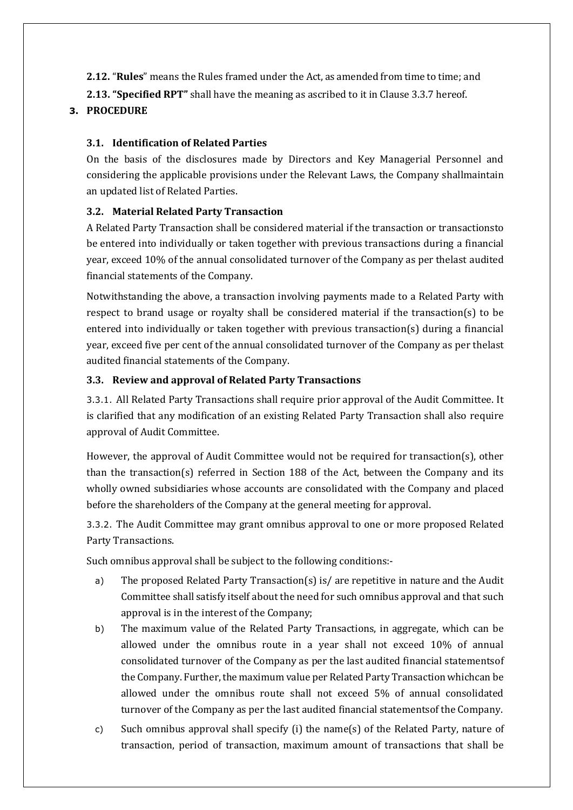**2.12.** "**Rules**" means the Rules framed under the Act, as amended from time to time; and

**2.13. "Specified RPT"** shall have the meaning as ascribed to it in Clause 3.3.7 hereof.

# **3. PROCEDURE**

# **3.1. Identification of Related Parties**

On the basis of the disclosures made by Directors and Key Managerial Personnel and considering the applicable provisions under the Relevant Laws, the Company shallmaintain an updated list of Related Parties.

# **3.2. Material Related Party Transaction**

A Related Party Transaction shall be considered material if the transaction or transactionsto be entered into individually or taken together with previous transactions during a financial year, exceed 10% of the annual consolidated turnover of the Company as per thelast audited financial statements of the Company.

Notwithstanding the above, a transaction involving payments made to a Related Party with respect to brand usage or royalty shall be considered material if the transaction(s) to be entered into individually or taken together with previous transaction(s) during a financial year, exceed five per cent of the annual consolidated turnover of the Company as per thelast audited financial statements of the Company.

## **3.3. Review and approval of Related Party Transactions**

3.3.1. All Related Party Transactions shall require prior approval of the Audit Committee. It is clarified that any modification of an existing Related Party Transaction shall also require approval of Audit Committee.

However, the approval of Audit Committee would not be required for transaction(s), other than the transaction(s) referred in Section 188 of the Act, between the Company and its wholly owned subsidiaries whose accounts are consolidated with the Company and placed before the shareholders of the Company at the general meeting for approval.

3.3.2. The Audit Committee may grant omnibus approval to one or more proposed Related Party Transactions.

Such omnibus approval shall be subject to the following conditions:-

- a) The proposed Related Party Transaction(s) is/ are repetitive in nature and the Audit Committee shall satisfy itself about the need for such omnibus approval and that such approval is in the interest of the Company;
- b) The maximum value of the Related Party Transactions, in aggregate, which can be allowed under the omnibus route in a year shall not exceed 10% of annual consolidated turnover of the Company as per the last audited financial statementsof the Company. Further, the maximum value per Related Party Transaction whichcan be allowed under the omnibus route shall not exceed 5% of annual consolidated turnover of the Company as per the last audited financial statementsof the Company.
- c) Such omnibus approval shall specify (i) the name(s) of the Related Party, nature of transaction, period of transaction, maximum amount of transactions that shall be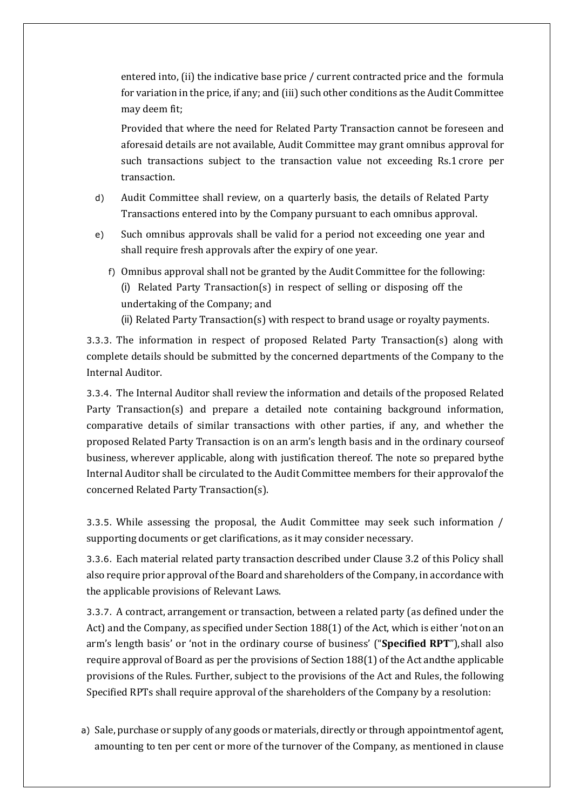entered into, (ii) the indicative base price / current contracted price and the formula for variation in the price, if any; and (iii) such other conditions as the Audit Committee may deem fit;

Provided that where the need for Related Party Transaction cannot be foreseen and aforesaid details are not available, Audit Committee may grant omnibus approval for such transactions subject to the transaction value not exceeding Rs.1 crore per transaction.

- d) Audit Committee shall review, on a quarterly basis, the details of Related Party Transactions entered into by the Company pursuant to each omnibus approval.
- e) Such omnibus approvals shall be valid for a period not exceeding one year and shall require fresh approvals after the expiry of one year.
	- f) Omnibus approval shall not be granted by the Audit Committee for the following: (i) Related Party Transaction(s) in respect of selling or disposing off the undertaking of the Company; and (ii) Related Party Transaction(s) with respect to brand usage or royalty payments.

3.3.3. The information in respect of proposed Related Party Transaction(s) along with complete details should be submitted by the concerned departments of the Company to the Internal Auditor.

3.3.4. The Internal Auditor shall review the information and details of the proposed Related Party Transaction(s) and prepare a detailed note containing background information, comparative details of similar transactions with other parties, if any, and whether the proposed Related Party Transaction is on an arm's length basis and in the ordinary courseof business, wherever applicable, along with justification thereof. The note so prepared bythe Internal Auditor shall be circulated to the Audit Committee members for their approvalof the concerned Related Party Transaction(s).

3.3.5. While assessing the proposal, the Audit Committee may seek such information / supporting documents or get clarifications, as it may consider necessary.

3.3.6. Each material related party transaction described under Clause 3.2 of this Policy shall also require prior approval of the Board and shareholders of the Company, in accordance with the applicable provisions of Relevant Laws.

3.3.7. A contract, arrangement or transaction, between a related party (as defined under the Act) and the Company, as specified under Section 188(1) of the Act, which is either 'not on an arm's length basis' or 'not in the ordinary course of business' ("**Specified RPT**"),shall also require approval of Board as per the provisions of Section 188(1) of the Act and the applicable provisions of the Rules. Further, subject to the provisions of the Act and Rules, the following Specified RPTs shall require approval of the shareholders of the Company by a resolution:

a) Sale, purchase or supply of any goods or materials, directly or through appointmentof agent, amounting to ten per cent or more of the turnover of the Company, as mentioned in clause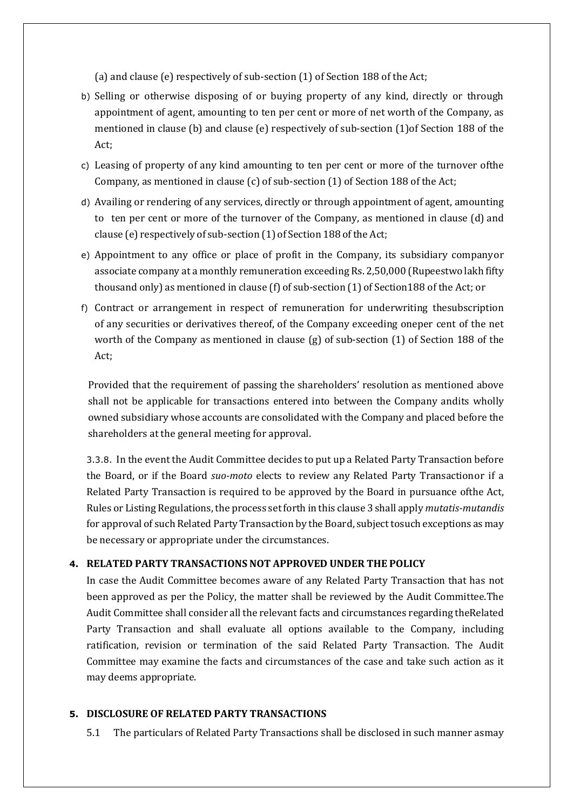(a) and clause (e) respectively of sub-section (1) of Section 188 of the Act;

- b) Selling or otherwise disposing of or buying property of any kind, directly or through appointment of agent, amounting to ten per cent or more of net worth of the Company, as mentioned in clause (b) and clause (e) respectively of sub-section (1)of Section 188 of the Act;
- c) Leasing of property of any kind amounting to ten per cent or more of the turnover ofthe Company, as mentioned in clause (c) of sub-section (1) of Section 188 of the Act;
- d) Availing or rendering of any services, directly or through appointment of agent, amounting to ten per cent or more of the turnover of the Company, as mentioned in clause (d) and clause (e) respectively of sub-section (1) of Section 188 of the Act;
- e) Appointment to any office or place of profit in the Company, its subsidiary companyor associate company at a monthly remuneration exceeding Rs. 2,50,000 (Rupeestwo lakh fifty thousand only) as mentioned in clause (f) of sub-section (1) of Section188 of the Act; or
- f) Contract or arrangement in respect of remuneration for underwriting thesubscription of any securities or derivatives thereof, of the Company exceeding oneper cent of the net worth of the Company as mentioned in clause (g) of sub-section (1) of Section 188 of the Act;

Provided that the requirement of passing the shareholders' resolution as mentioned above shall not be applicable for transactions entered into between the Company andits wholly owned subsidiary whose accounts are consolidated with the Company and placed before the shareholders at the general meeting for approval.

3.3.8. In the event the Audit Committee decides to put up a Related Party Transaction before the Board, or if the Board *suo-moto* elects to review any Related Party Transactionor if a Related Party Transaction is required to be approved by the Board in pursuance ofthe Act, Rules or Listing Regulations, the process set forth in this clause 3 shall apply *mutatis-mutandis*  for approval of such Related Party Transaction by the Board, subject tosuch exceptions as may be necessary or appropriate under the circumstances.

#### **4. RELATED PARTY TRANSACTIONS NOT APPROVED UNDER THE POLICY**

In case the Audit Committee becomes aware of any Related Party Transaction that has not been approved as per the Policy, the matter shall be reviewed by the Audit Committee.The Audit Committee shall consider all the relevant facts and circumstances regarding theRelated Party Transaction and shall evaluate all options available to the Company, including ratification, revision or termination of the said Related Party Transaction. The Audit Committee may examine the facts and circumstances of the case and take such action as it may deems appropriate.

#### **5. DISCLOSURE OF RELATED PARTY TRANSACTIONS**

5.1 The particulars of Related Party Transactions shall be disclosed in such manner asmay